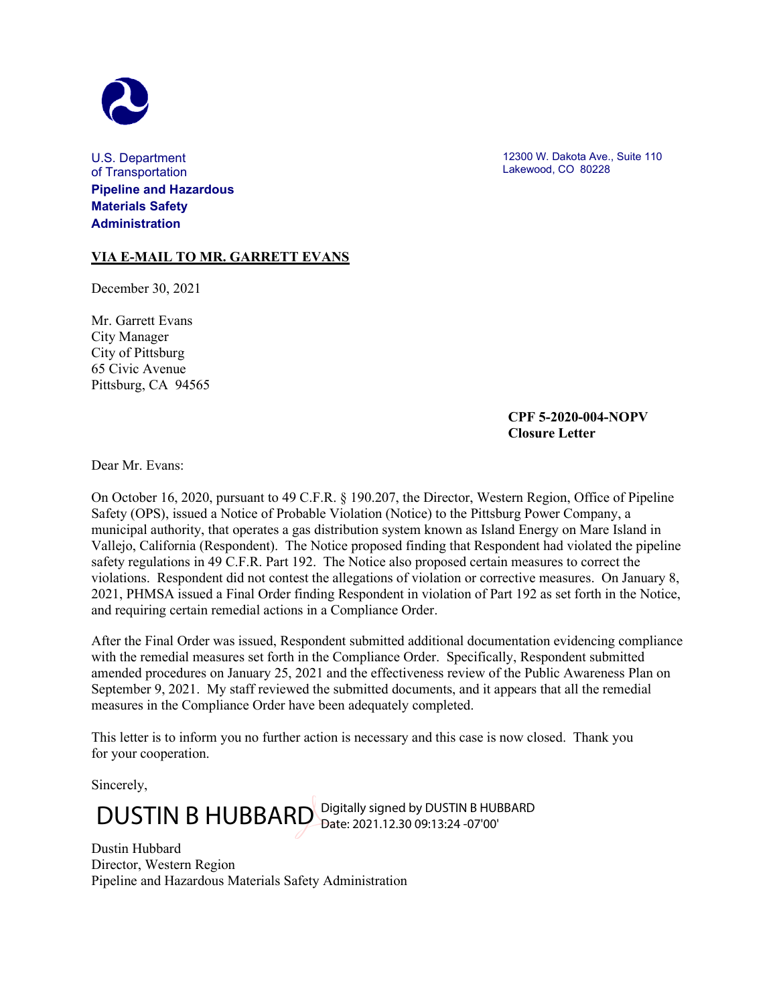

U.S. Department of Transportation **Pipeline and Hazardous Materials Safety Administration**

**VIA E-MAIL TO MR. GARRETT EVANS**

December 30, 2021

Mr. Garrett Evans City Manager City of Pittsburg 65 Civic Avenue Pittsburg, CA 94565 12300 W. Dakota Ave., Suite 110 Lakewood, CO 80228

## **CPF 5-2020-004-NOPV Closure Letter**

Dear Mr. Evans:

On October 16, 2020, pursuant to 49 C.F.R. § 190.207, the Director, Western Region, Office of Pipeline Safety (OPS), issued a Notice of Probable Violation (Notice) to the Pittsburg Power Company, a municipal authority, that operates a gas distribution system known as Island Energy on Mare Island in Vallejo, California (Respondent). The Notice proposed finding that Respondent had violated the pipeline safety regulations in 49 C.F.R. Part 192. The Notice also proposed certain measures to correct the violations. Respondent did not contest the allegations of violation or corrective measures. On January 8, 2021, PHMSA issued a Final Order finding Respondent in violation of Part 192 as set forth in the Notice, and requiring certain remedial actions in a Compliance Order.

After the Final Order was issued, Respondent submitted additional documentation evidencing compliance with the remedial measures set forth in the Compliance Order. Specifically, Respondent submitted amended procedures on January 25, 2021 and the effectiveness review of the Public Awareness Plan on September 9, 2021. My staff reviewed the submitted documents, and it appears that all the remedial measures in the Compliance Order have been adequately completed.

This letter is to inform you no further action is necessary and this case is now closed. Thank you for your cooperation.

Sincerely,

DUSTIN B HUBBARD Digitally signed by DUSTIN B HUBBARD

Dustin Hubbard Director, Western Region Pipeline and Hazardous Materials Safety Administration